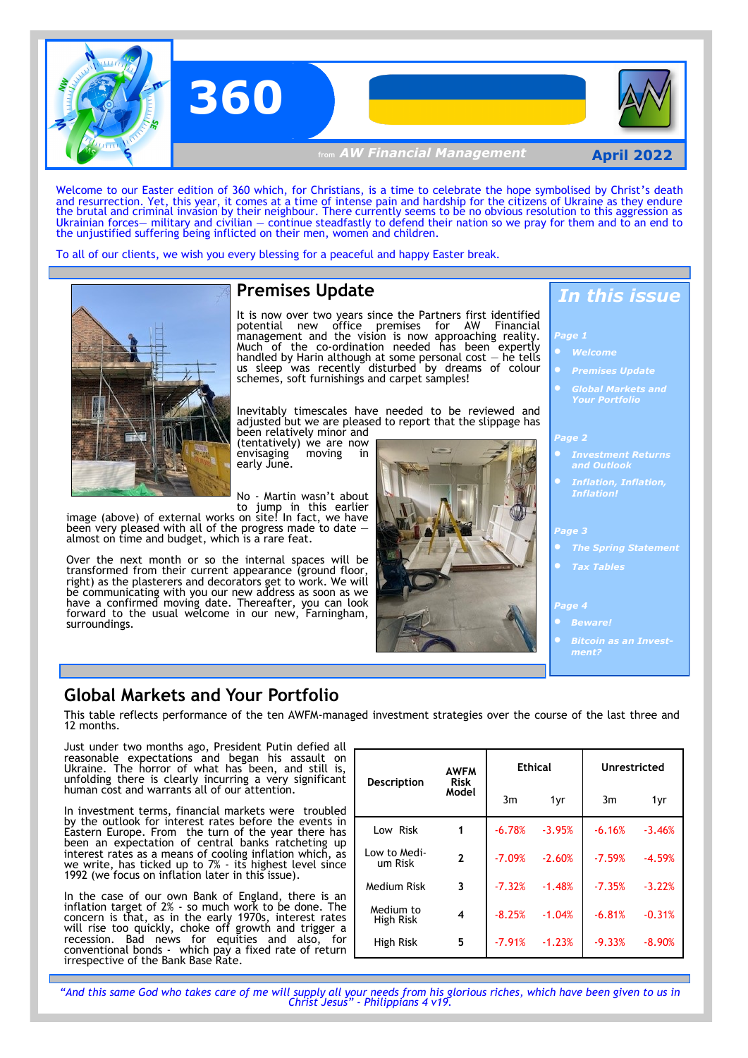

Welcome to our Easter edition of 360 which, for Christians, is a time to celebrate the hope symbolised by Christ's death and resurrection. Yet, this year, it comes at a time of intense pain and hardship for the citizens of Ukraine as they endure the brutal and criminal invasion by their neighbour. There currently seems to be no obvious resolution to this aggression as Ukrainian forces— military and civilian — continue steadfastly to defend their nation so we pray for them and to an end to the unjustified suffering being inflicted on their men, women and children.

To all of our clients, we wish you every blessing for a peaceful and happy Easter break.



## **Premises Update**

It is now over two years since the Partners first identified potential new office premises for AW Financial management and the vision is now approaching reality. Much of the co-ordination needed has been expertly handled by Harin although at some personal cost  $-$  he tells us sleep was recently disturbed by dreams of colour schemes, soft furnishings and carpet samples!

Inevitably timescales have needed to be reviewed and adjusted but we are pleased to report that the slippage has been relatively minor and

(tentatively) we are now envisaging moving in early June.

No - Martin wasn't about to jump in this earlier

image (above) of external works on site! In fact, we have been very pleased with all of the progress made to date almost on time and budget, which is a rare feat.

Over the next month or so the internal spaces will be transformed from their current appearance (ground floor, right) as the plasterers and decorators get to work. We will be communicating with you our new address as soon as we have a confirmed moving date. Thereafter, you can look forward to the usual welcome in our new, Farningham, surroundings.



## *In this issue*

*Page 1*

- 
- *Premises Update*
- *Global Markets and Your Portfolio*

#### *Page 2*

- *and Outlook*
- *Inflation!*

#### *Page 3*

- *The Spring Statement* 
	-

#### *Page 4*

- 
- *Bitcoin as an Investment?*

### **Global Markets and Your Portfolio**

This table reflects performance of the ten AWFM-managed investment strategies over the course of the last three and 12 months.

Just under two months ago, President Putin defied all reasonable expectations and began his assault on Ukraine. The horror of what has been, and still is, unfolding there is clearly incurring a very significant human cost and warrants all of our attention.

In investment terms, financial markets were troubled by the outlook for interest rates before the events in Eastern Europe. From the turn of the year there has been an expectation of central banks ratcheting up interest rates as a means of cooling inflation which, as we write, has ticked up to 7% - its highest level since 1992 (we focus on inflation later in this issue).

In the case of our own Bank of England, there is an inflation target of 2% - so much work to be done. The concern is that, as in the early 1970s, interest rates will rise too quickly, choke off growth and trigger a recession. Bad news for equities and also, for conventional bonds - which pay a fixed rate of return irrespective of the Bank Base Rate.

| <b>Description</b>      | <b>AWFM</b><br>Risk<br>Model | Ethical  |          | Unrestricted |          |
|-------------------------|------------------------------|----------|----------|--------------|----------|
|                         |                              | 3m       | 1yr      | 3m           | 1yr      |
| Low Risk                | 1                            | $-6.78%$ | $-3.95%$ | $-6.16%$     | $-3.46%$ |
| Low to Medi-<br>um Risk | $\overline{2}$               | $-7.09%$ | $-2.60%$ | $-7.59%$     | $-4.59%$ |
| Medium Risk             | 3                            | $-7.32%$ | $-1.48%$ | $-7.35%$     | $-3.22%$ |
| Medium to<br>High Risk  | 4                            | $-8.25%$ | $-1.04%$ | $-6.81%$     | $-0.31%$ |
| High Risk               | 5                            | $-7.91%$ | $-1.23%$ | $-9.33%$     | $-8.90%$ |

*"And this same God who takes care of me will supply all your needs from his glorious riches, which have been given to us in Christ Jesus" - Philippians 4 v19.*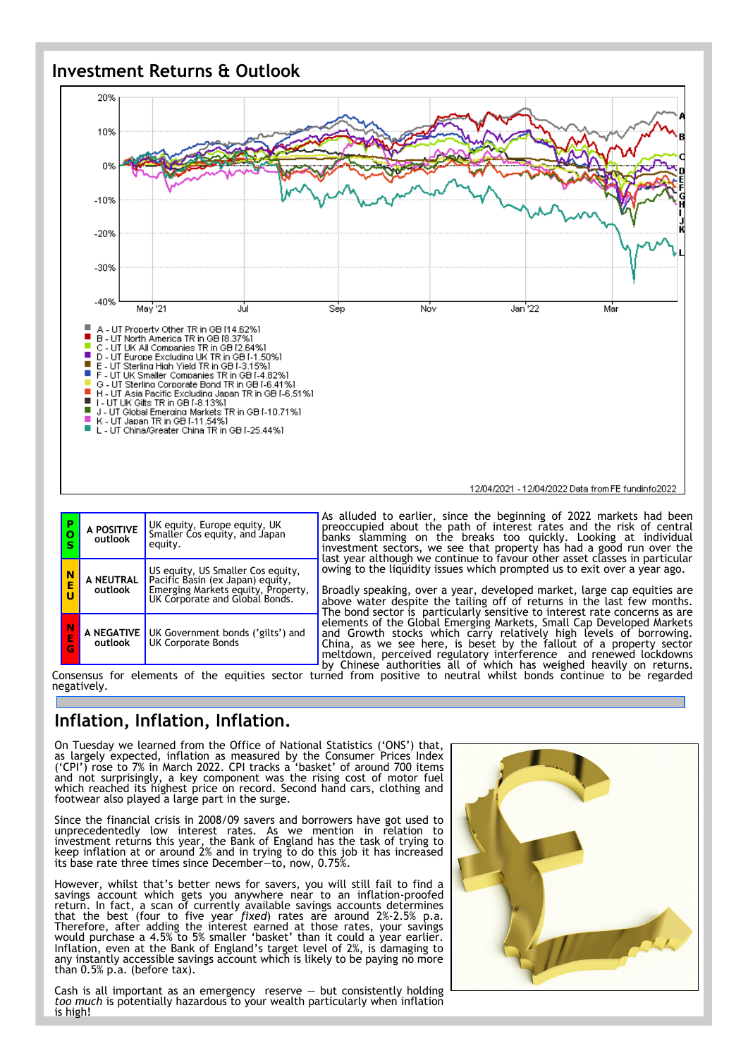### **Investment Returns & Outlook**



| P<br>o<br>S | A POSITIVE<br>outlook | UK equity, Europe equity, UK<br>Smaller Cos equity, and Japan<br>equity.                                                                      | As a<br>prec<br>bank<br>inve<br>last |  |
|-------------|-----------------------|-----------------------------------------------------------------------------------------------------------------------------------------------|--------------------------------------|--|
| N<br>E<br>Ù | A NEUTRAL<br>outlook  | US equity, US Smaller Cos equity,<br>Pacific Basin (ex Japan) equity,<br>Emerging Markets equity, Property,<br>UK Corporate and Global Bonds. | owir<br>Broa<br>abov<br>The          |  |
| N<br>Ė<br>Ġ | A NEGATIVE<br>outlook | UK Government bonds ('gilts') and<br><b>UK Corporate Bonds</b>                                                                                | elen<br>and<br>Chin<br>melt          |  |

As alluded to earlier, since the beginning of 2022 markets had been preoccupied about the path of interest rates and the risk of central banks slamming on the breaks too quickly. Looking at individual investment sectors, we see that property has had a good run over the last year although we continue to favour other asset classes in particular owing to the liquidity issues which prompted us to exit over a year ago.

Broadly speaking, over a year, developed market, large cap equities are above water despite the tailing off of returns in the last few months. bond sector is particularly sensitive to interest rate concerns as are elements of the Global Emerging Markets, Small Cap Developed Markets and Growth stocks which carry relatively high levels of borrowing. China, as we see here, is beset by the fallout of a property sector meltdown, perceived regulatory interference and renewed lockdowns by Chinese authorities all of which has weighed heavily on returns.

Consensus for elements of the equities sector turned from positive to neutral whilst bonds continue to be regarded negatively.

## **Inflation, Inflation, Inflation.**

On Tuesday we learned from the Office of National Statistics ('ONS') that, as largely expected, inflation as measured by the Consumer Prices Index ('CPI') rose to 7% in March 2022. CPI tracks a 'basket' of around 700 items and not surprisingly, a key component was the rising cost of motor fuel which reached its highest price on record. Second hand cars, clothing and footwear also played a large part in the surge.

Since the financial crisis in 2008/09 savers and borrowers have got used to unprecedentedly low interest rates. As we mention in relation to investment returns this year, the Bank of England has the task of trying to keep inflation at or around 2% and in trying to do this job it has increased its base rate three times since December—to, now, 0.75%.

However, whilst that's better news for savers, you will still fail to find a savings account which gets you anywhere near to an inflation-proofed return. In fact, a scan of currently available savings accounts determines that the best (four to five year *fixed*) rates are around 2%-2.5% p.a. Therefore, after adding the interest earned at those rates, your savings would purchase a 4.5% to 5% smaller 'basket' than it could a year earlier. Inflation, even at the Bank of England's target level of 2%, is damaging to any instantly accessible savings account which is likely to be paying no more than 0.5% p.a. (before tax).

Cash is all important as an emergency reserve  $-$  but consistently holding *too much* is potentially hazardous to your wealth particularly when inflation is high!

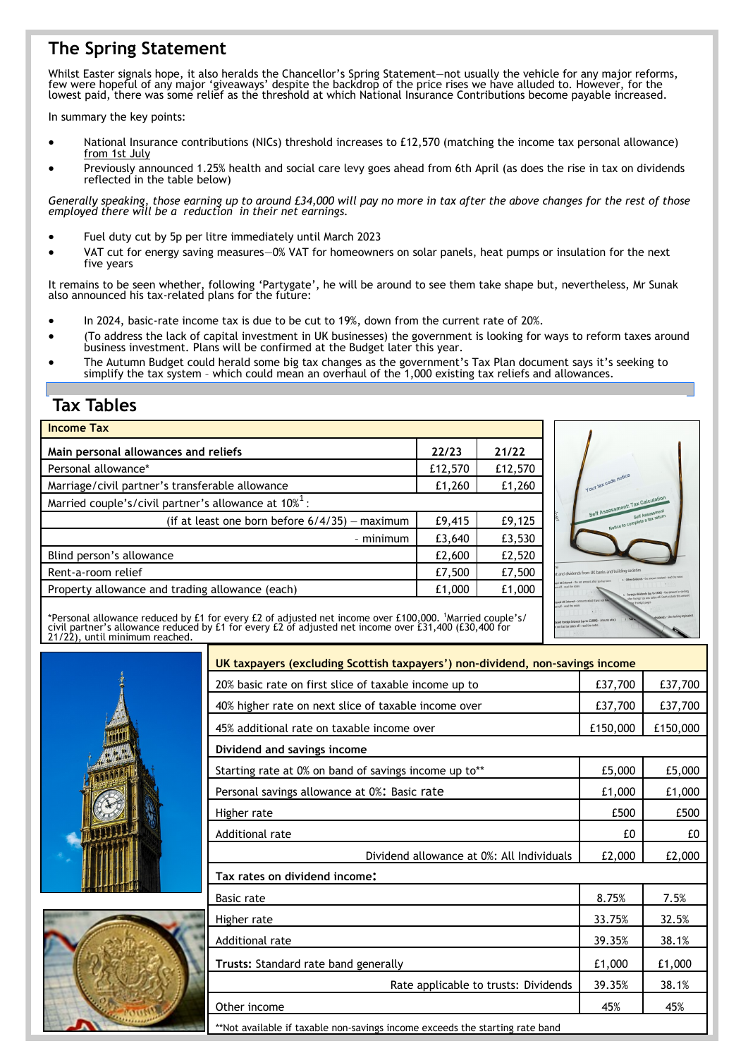# **The Spring Statement**

Whilst Easter signals hope, it also heralds the Chancellor's Spring Statement—not usually the vehicle for any major reforms, few were hopeful of any major 'giveaways' despite the backdrop of the price rises we have alluded to. However, for the lowest paid, there was some relief as the threshold at which National Insurance Contributions become payable increased.

In summary the key points:

- National Insurance contributions (NICs) threshold increases to £12,570 (matching the income tax personal allowance) from 1st July
- Previously announced 1.25% health and social care levy goes ahead from 6th April (as does the rise in tax on dividends reflected in the table below)

*Generally speaking, those earning up to around £34,000 will pay no more in tax after the above changes for the rest of those employed there will be a reduction in their net earnings.*

- Fuel duty cut by 5p per litre immediately until March 2023
- VAT cut for energy saving measures—0% VAT for homeowners on solar panels, heat pumps or insulation for the next five years

It remains to be seen whether, following 'Partygate', he will be around to see them take shape but, nevertheless, Mr Sunak also announced his tax-related plans for the future:

- In 2024, basic-rate income tax is due to be cut to 19%, down from the current rate of 20%.
- (To address the lack of capital investment in UK businesses) the government is looking for ways to reform taxes around business investment. Plans will be confirmed at the Budget later this year.
- The Autumn Budget could herald some big tax changes as the government's Tax Plan document says it's seeking to simplify the tax system – which could mean an overhaul of the 1,000 existing tax reliefs and allowances.

## **Tax Tables**

| <b>Income Tax</b>                                                   |        |         |  |  |
|---------------------------------------------------------------------|--------|---------|--|--|
| Main personal allowances and reliefs                                | 22/23  | 21/22   |  |  |
| Personal allowance*                                                 |        | £12,570 |  |  |
| Marriage/civil partner's transferable allowance                     |        | £1,260  |  |  |
| Married couple's/civil partner's allowance at $10\%$ <sup>1</sup> : |        |         |  |  |
| (if at least one born before $6/4/35$ ) - maximum                   | £9,415 | £9,125  |  |  |
| - minimum                                                           | £3,640 | £3,530  |  |  |
| Blind person's allowance                                            |        | £2,520  |  |  |
| Rent-a-room relief                                                  |        | £7,500  |  |  |
| Property allowance and trading allowance (each)                     |        | £1,000  |  |  |
|                                                                     |        |         |  |  |



\*Personal allowance reduced by £1 for every £2 of adjusted net income over £100,000. <sup>1</sup>Married couple's/<br>civil partner's allowance reduced by £1 for every £2 of adjusted net income over £31,400 (£30,400 for<br>21/22), until





| UK taxpayers (excluding Scottish taxpayers') non-dividend, non-savings income |        |          |  |  |
|-------------------------------------------------------------------------------|--------|----------|--|--|
| 20% basic rate on first slice of taxable income up to                         |        | £37,700  |  |  |
| 40% higher rate on next slice of taxable income over                          |        | £37,700  |  |  |
| 45% additional rate on taxable income over                                    |        | £150,000 |  |  |
| Dividend and savings income                                                   |        |          |  |  |
| Starting rate at 0% on band of savings income up to**                         |        | £5,000   |  |  |
| Personal savings allowance at 0%: Basic rate                                  |        | £1,000   |  |  |
| Higher rate                                                                   |        | £500     |  |  |
| Additional rate                                                               |        | £0       |  |  |
| Dividend allowance at 0%: All Individuals                                     | £2,000 | £2,000   |  |  |
| Tax rates on dividend income:                                                 |        |          |  |  |
| <b>Basic rate</b>                                                             | 8.75%  | 7.5%     |  |  |
| Higher rate                                                                   |        | 32.5%    |  |  |
| Additional rate                                                               |        | 38.1%    |  |  |
| Trusts: Standard rate band generally                                          |        | £1,000   |  |  |
| Rate applicable to trusts: Dividends                                          | 39.35% | 38.1%    |  |  |
| Other income                                                                  |        | 45%      |  |  |
| **Not available if taxable non-savings income exceeds the starting rate band  |        |          |  |  |